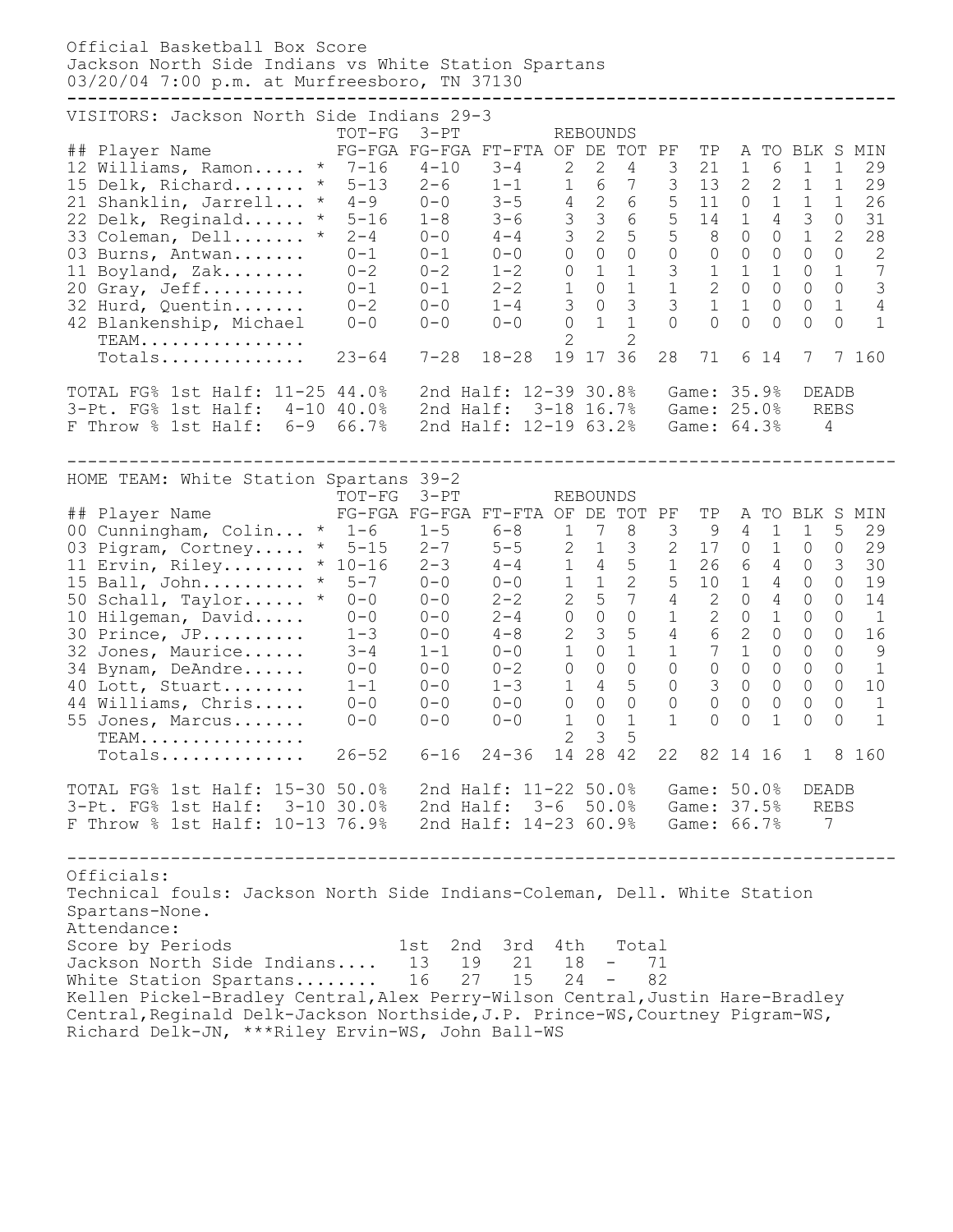Official Basketball Box Score Jackson North Side Indians vs White Station Spartans 03/20/04 7:00 p.m. at Murfreesboro, TN 37130 **--------------------------------------------------------------------------------** VISITORS: Jackson North Side Indians 29-3 TOT-FG 3-PT REBOUNDS ## Player Name FG-FGA FG-FGA FT-FTA OF DE TOT PF TP A TO BLK S MIN 12 Williams, Ramon..... \* 7-16 4-10 3-4 2 2 4 3 21 1 6 1 1 29 15 Delk, Richard....... \* 5-13 2-6 1-1 1 6 7 3 13 2 2 1 1 29 21 Shanklin, Jarrell... \* 4-9 0-0 3-5 4 2 6 5 11 0 1 1 1 26 22 Delk, Reginald...... \* 5-16 1-8 3-6 3 3 6 5 14 1 4 3 0 31 33 Coleman, Dell....... \* 2-4 0-0 4-4 3 2 5 5 8 0 0 1 2 28 03 Burns, Antwan....... 0-1 0-1 0-0 0 0 0 0 0 0 0 0 0 2 11 Boyland, Zak........ 0-2 0-2 1-2 0 1 1 3 1 1 1 0 1 7 20 Gray, Jeff.......... 0-1 0-1 2-2 1 0 1 1 2 0 0 0 0 3 32 Hurd, Quentin....... 0-2 0-0 1-4 3 0 3 3 1 1 0 0 1 4 42 Blankenship, Michael 0-0 0-0 0-0 0 1 1 0 0 0 0 0 0 1  $\text{TEMM}_{1}, \ldots, \ldots, \ldots, \ldots$ TEAM.................<br>Totals................ 23-64 7-28 18-28 19 17 36 28 71 6 14 7 7 160 TOTAL FG% 1st Half: 11-25 44.0% 2nd Half: 12-39 30.8% Game: 35.9% DEADB 3-Pt. FG% 1st Half: 4-10 40.0% 2nd Half: 3-18 16.7% Game: 25.0% REBS F Throw % 1st Half: 6-9 66.7% 2nd Half: 12-19 63.2% Game: 64.3% 4 -------------------------------------------------------------------------------- HOME TEAM: White Station Spartans 39-2 TOT-FG 3-PT REBOUNDS ## Player Name FG-FGA FG-FGA FT-FTA OF DE TOT PF TP A TO BLK S MIN 00 Cunningham, Colin... \* 1-6 1-5 6-8 1 7 8 3 9 4 1 1 5 29 03 Pigram, Cortney..... \* 5-15 2-7 5-5 2 1 3 2 17 0 1 0 0 29 11 Ervin, Riley........ \* 10-16 2-3 4-4 1 4 5 1 26 6 4 0 3 30 15 Ball, John.......... \* 5-7 0-0 0-0 1 1 2 5 10 1 4 0 0 19 50 Schall, Taylor...... \* 0-0 0-0 2-2 2 5 7 4 2 0 4 0 0 14 10 Hilgeman, David..... 0-0 0-0 2-4 0 0 0 1 2 0 1 0 0 1 30 Prince, JP.......... 1-3 0-0 4-8 2 3 5 4 6 2 0 0 0 16 32 Jones, Maurice...... 3-4 1-1 0-0 1 0 1 1 7 1 0 0 0 9 34 Bynam, DeAndre...... 0-0 0-0 0-2 0 0 0 0 0 0 0 0 0 1 40 Lott, Stuart........ 1-1 0-0 1-3 1 4 5 0 3 0 0 0 0 10 44 Williams, Chris..... 0-0 0-0 0-0 0 0 0 0 0 0 0 0 0 1 55 Jones, Marcus....... 0-0 0-0 0-0 1 0 1 1 0 0 1 0 0 1 TEAM................ 2 3 5 TEAM.................<br>Totals............... 26-52 6-16 24-36 14 28 42 22 82 14 16 1 8 160 TOTAL FG% 1st Half: 15-30 50.0% 2nd Half: 11-22 50.0% Game: 50.0% DEADB 3-Pt. FG% 1st Half: 3-10 30.0% 2nd Half: 3-6 50.0% Game: 37.5% REBS F Throw % 1st Half: 10-13 76.9% 2nd Half: 14-23 60.9% Game: 66.7% 7 -------------------------------------------------------------------------------- Officials: Technical fouls: Jackson North Side Indians-Coleman, Dell. White Station Spartans-None. Attendance: Score by Periods 1st 2nd 3rd 4th Total Jackson North Side Indians.... 13 19 21 18 - 71 White Station Spartans........ 16 27 15 24 - 82 Kellen Pickel-Bradley Central, Alex Perry-Wilson Central, Justin Hare-Bradley Central, Reginald Delk-Jackson Northside, J.P. Prince-WS, Courtney Pigram-WS, Richard Delk-JN, \*\*\*Riley Ervin-WS, John Ball-WS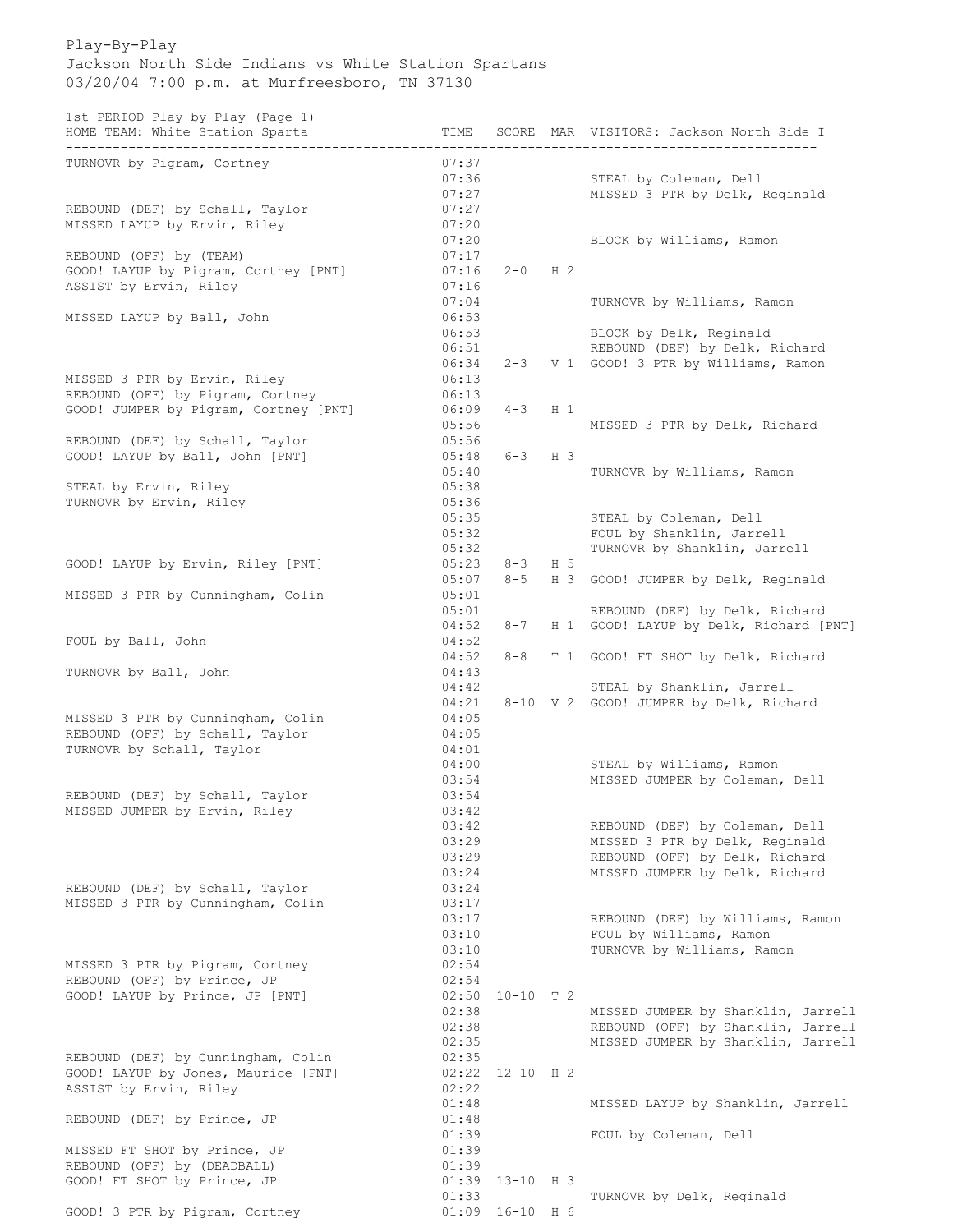## Play-By-Play Jackson North Side Indians vs White Station Spartans 03/20/04 7:00 p.m. at Murfreesboro, TN 37130

1st PERIOD Play-by-Play (Page 1)

| HOME TEAM: White Station Sparta       | TIME  |                   | SCORE MAR VISITORS: Jackson North Side I |
|---------------------------------------|-------|-------------------|------------------------------------------|
| TURNOVR by Pigram, Cortney            | 07:37 |                   |                                          |
|                                       | 07:36 |                   | STEAL by Coleman, Dell                   |
|                                       |       | 07:27             | MISSED 3 PTR by Delk, Reginald           |
| REBOUND (DEF) by Schall, Taylor       | 07:27 |                   |                                          |
| MISSED LAYUP by Ervin, Riley          | 07:20 |                   |                                          |
|                                       | 07:20 |                   | BLOCK by Williams, Ramon                 |
| REBOUND (OFF) by (TEAM)               | 07:17 |                   |                                          |
| GOOD! LAYUP by Pigram, Cortney [PNT]  | 07:16 | $2 - 0$ H 2       |                                          |
| ASSIST by Ervin, Riley                | 07:16 |                   |                                          |
|                                       | 07:04 |                   | TURNOVR by Williams, Ramon               |
| MISSED LAYUP by Ball, John            | 06:53 |                   |                                          |
|                                       | 06:53 |                   | BLOCK by Delk, Reginald                  |
|                                       | 06:51 |                   | REBOUND (DEF) by Delk, Richard           |
|                                       | 06:34 |                   | 2-3 V 1 GOOD! 3 PTR by Williams, Ramon   |
| MISSED 3 PTR by Ervin, Riley          | 06:13 |                   |                                          |
| REBOUND (OFF) by Pigram, Cortney      | 06:13 |                   |                                          |
| GOOD! JUMPER by Pigram, Cortney [PNT] | 06:09 | $4-3$ H 1         |                                          |
|                                       | 05:56 |                   | MISSED 3 PTR by Delk, Richard            |
| REBOUND (DEF) by Schall, Taylor       | 05:56 |                   |                                          |
| GOOD! LAYUP by Ball, John [PNT]       | 05:48 | $6 - 3$ H 3       |                                          |
|                                       | 05:40 |                   | TURNOVR by Williams, Ramon               |
| STEAL by Ervin, Riley                 | 05:38 |                   |                                          |
| TURNOVR by Ervin, Riley               | 05:36 |                   |                                          |
|                                       | 05:35 |                   | STEAL by Coleman, Dell                   |
|                                       | 05:32 |                   | FOUL by Shanklin, Jarrell                |
|                                       | 05:32 |                   | TURNOVR by Shanklin, Jarrell             |
| GOOD! LAYUP by Ervin, Riley [PNT]     | 05:23 | $8 - 3$ H 5       |                                          |
|                                       | 05:07 |                   | 8-5 H 3 GOOD! JUMPER by Delk, Reginald   |
| MISSED 3 PTR by Cunningham, Colin     | 05:01 |                   |                                          |
|                                       | 05:01 |                   | REBOUND (DEF) by Delk, Richard           |
|                                       | 04:52 | $8 - 7$           | H 1 GOOD! LAYUP by Delk, Richard [PNT]   |
| FOUL by Ball, John                    | 04:52 |                   |                                          |
|                                       | 04:52 | $8 - 8$           | T 1 GOOD! FT SHOT by Delk, Richard       |
| TURNOVR by Ball, John                 | 04:43 |                   |                                          |
|                                       | 04:42 |                   | STEAL by Shanklin, Jarrell               |
|                                       | 04:21 |                   | 8-10 V 2 GOOD! JUMPER by Delk, Richard   |
| MISSED 3 PTR by Cunningham, Colin     | 04:05 |                   |                                          |
| REBOUND (OFF) by Schall, Taylor       | 04:05 |                   |                                          |
| TURNOVR by Schall, Taylor             | 04:01 |                   |                                          |
|                                       | 04:00 |                   | STEAL by Williams, Ramon                 |
|                                       | 03:54 |                   | MISSED JUMPER by Coleman, Dell           |
| REBOUND (DEF) by Schall, Taylor       | 03:54 |                   |                                          |
| MISSED JUMPER by Ervin, Riley         | 03:42 |                   |                                          |
|                                       | 03:42 |                   | REBOUND (DEF) by Coleman, Dell           |
|                                       | 03:29 |                   | MISSED 3 PTR by Delk, Reginald           |
|                                       | 03:29 |                   | REBOUND (OFF) by Delk, Richard           |
|                                       | 03:24 |                   | MISSED JUMPER by Delk, Richard           |
| REBOUND (DEF) by Schall, Taylor       | 03:24 |                   |                                          |
| MISSED 3 PTR by Cunningham, Colin     | 03:17 |                   |                                          |
|                                       | 03:17 |                   | REBOUND (DEF) by Williams, Ramon         |
|                                       | 03:10 |                   | FOUL by Williams, Ramon                  |
|                                       | 03:10 |                   | TURNOVR by Williams, Ramon               |
| MISSED 3 PTR by Pigram, Cortney       | 02:54 |                   |                                          |
| REBOUND (OFF) by Prince, JP           | 02:54 |                   |                                          |
| GOOD! LAYUP by Prince, JP [PNT]       | 02:50 | $10-10$ T 2       |                                          |
|                                       | 02:38 |                   | MISSED JUMPER by Shanklin, Jarrell       |
|                                       | 02:38 |                   | REBOUND (OFF) by Shanklin, Jarrell       |
|                                       | 02:35 |                   | MISSED JUMPER by Shanklin, Jarrell       |
| REBOUND (DEF) by Cunningham, Colin    | 02:35 |                   |                                          |
| GOOD! LAYUP by Jones, Maurice [PNT]   |       | $02:22$ 12-10 H 2 |                                          |
| ASSIST by Ervin, Riley                | 02:22 |                   |                                          |
|                                       | 01:48 |                   | MISSED LAYUP by Shanklin, Jarrell        |
| REBOUND (DEF) by Prince, JP           | 01:48 |                   |                                          |
|                                       | 01:39 |                   | FOUL by Coleman, Dell                    |
| MISSED FT SHOT by Prince, JP          | 01:39 |                   |                                          |
| REBOUND (OFF) by (DEADBALL)           | 01:39 |                   |                                          |
| GOOD! FT SHOT by Prince, JP           | 01:39 | $13 - 10$ H 3     |                                          |
| GOOD! 3 PTR by Pigram, Cortney        | 01:33 | $01:09$ 16-10 H 6 | TURNOVR by Delk, Reginald                |
|                                       |       |                   |                                          |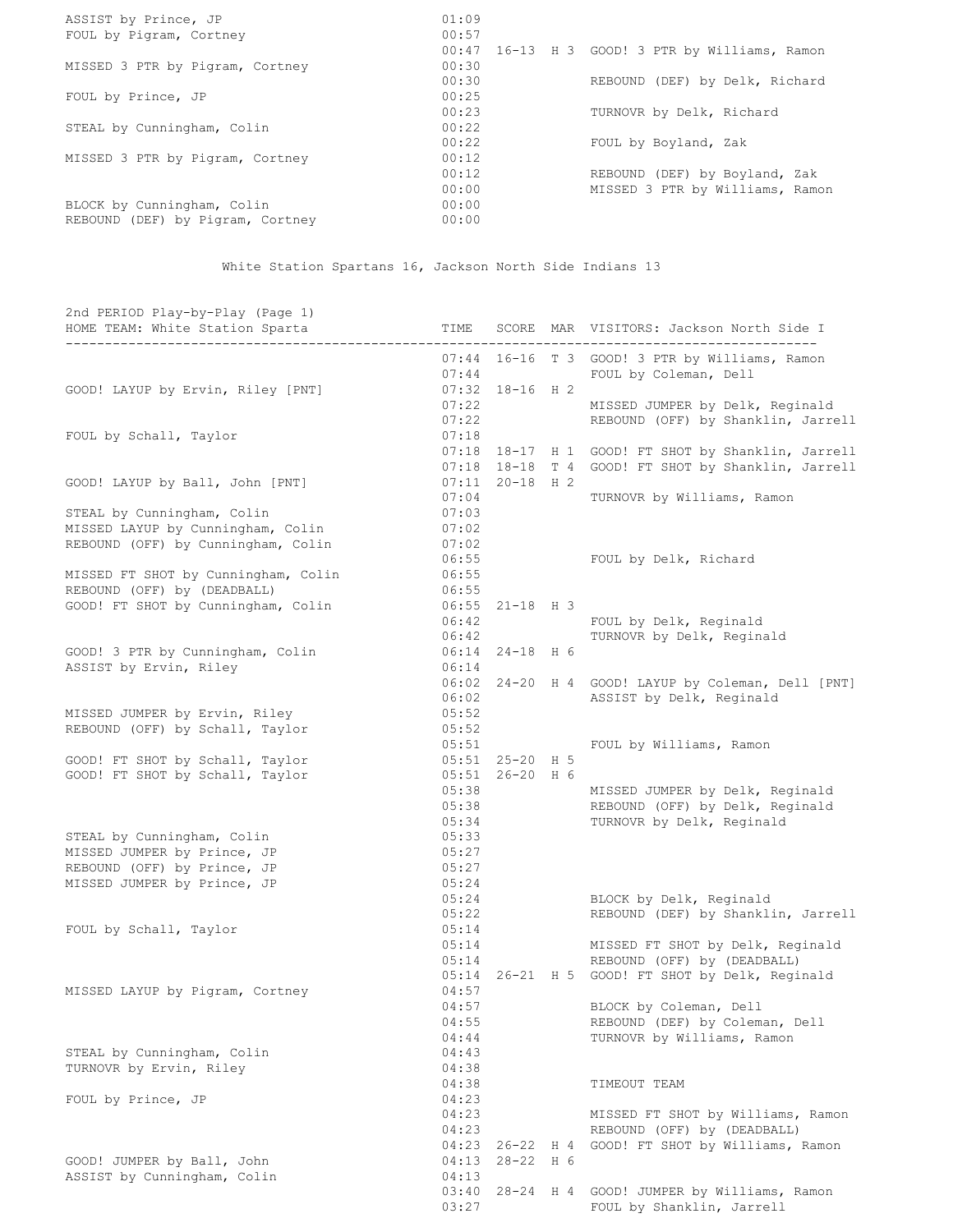| ASSIST by Prince, JP             | 01:09                                             |
|----------------------------------|---------------------------------------------------|
| FOUL by Pigram, Cortney          | 00:57                                             |
|                                  | 16-13 H 3 GOOD! 3 PTR by Williams, Ramon<br>00:47 |
| MISSED 3 PTR by Pigram, Cortney  | 00:30                                             |
|                                  | 00:30<br>REBOUND (DEF) by Delk, Richard           |
| FOUL by Prince, JP               | 00:25                                             |
|                                  | 00:23<br>TURNOVR by Delk, Richard                 |
| STEAL by Cunningham, Colin       | 00:22                                             |
|                                  | 00:22<br>FOUL by Boyland, Zak                     |
| MISSED 3 PTR by Pigram, Cortney  | 00:12                                             |
|                                  | 00:12<br>REBOUND (DEF) by Boyland, Zak            |
|                                  | 00:00<br>MISSED 3 PTR by Williams, Ramon          |
| BLOCK by Cunningham, Colin       | 00:00                                             |
| REBOUND (DEF) by Pigram, Cortney | 00:00                                             |

White Station Spartans 16, Jackson North Side Indians 13

| 2nd PERIOD Play-by-Play (Page 1)<br>HOME TEAM: White Station Sparta<br>-----------------------------<br>---------------------------------- | TIME           |                     |     | SCORE MAR VISITORS: Jackson North Side I<br>_____________________________ |
|--------------------------------------------------------------------------------------------------------------------------------------------|----------------|---------------------|-----|---------------------------------------------------------------------------|
|                                                                                                                                            | 07:44          |                     |     | 07:44 16-16 T 3 GOOD! 3 PTR by Williams, Ramon<br>FOUL by Coleman, Dell   |
| GOOD! LAYUP by Ervin, Riley [PNT]                                                                                                          |                | $07:32$ 18-16 H 2   |     |                                                                           |
|                                                                                                                                            | 07:22          |                     |     | MISSED JUMPER by Delk, Reginald                                           |
|                                                                                                                                            | 07:22          |                     |     | REBOUND (OFF) by Shanklin, Jarrell                                        |
| FOUL by Schall, Taylor                                                                                                                     | 07:18          |                     |     |                                                                           |
|                                                                                                                                            |                |                     |     | 07:18 18-17 H 1 GOOD! FT SHOT by Shanklin, Jarrell                        |
|                                                                                                                                            |                |                     |     | 07:18 18-18 T 4 GOOD! FT SHOT by Shanklin, Jarrell                        |
| GOOD! LAYUP by Ball, John [PNT]                                                                                                            |                | $07:11$ $20-18$ H 2 |     |                                                                           |
|                                                                                                                                            | 07:04          |                     |     | TURNOVR by Williams, Ramon                                                |
| STEAL by Cunningham, Colin<br>MISSED LAYUP by Cunningham, Colin                                                                            | 07:03<br>07:02 |                     |     |                                                                           |
| REBOUND (OFF) by Cunningham, Colin                                                                                                         | 07:02          |                     |     |                                                                           |
|                                                                                                                                            | 06:55          |                     |     | FOUL by Delk, Richard                                                     |
| MISSED FT SHOT by Cunningham, Colin                                                                                                        | 06:55          |                     |     |                                                                           |
| REBOUND (OFF) by (DEADBALL)                                                                                                                | 06:55          |                     |     |                                                                           |
| GOOD! FT SHOT by Cunningham, Colin                                                                                                         |                | 06:55 21-18 H 3     |     |                                                                           |
|                                                                                                                                            | 06:42          |                     |     | FOUL by Delk, Reginald                                                    |
|                                                                                                                                            | 06:42          |                     |     | TURNOVR by Delk, Reginald                                                 |
| GOOD! 3 PTR by Cunningham, Colin                                                                                                           |                | $06:14$ 24-18 H 6   |     |                                                                           |
| ASSIST by Ervin, Riley                                                                                                                     | 06:14          |                     |     |                                                                           |
|                                                                                                                                            |                |                     |     | 06:02 24-20 H 4 GOOD! LAYUP by Coleman, Dell [PNT]                        |
|                                                                                                                                            | 06:02          |                     |     | ASSIST by Delk, Reginald                                                  |
| MISSED JUMPER by Ervin, Riley                                                                                                              | 05:52          |                     |     |                                                                           |
| REBOUND (OFF) by Schall, Taylor                                                                                                            | 05:52          |                     |     |                                                                           |
| GOOD! FT SHOT by Schall, Taylor                                                                                                            | 05:51          | $05:51$ 25-20 H 5   |     | FOUL by Williams, Ramon                                                   |
| GOOD! FT SHOT by Schall, Taylor                                                                                                            |                | 05:51 26-20 H 6     |     |                                                                           |
|                                                                                                                                            | 05:38          |                     |     | MISSED JUMPER by Delk, Reginald                                           |
|                                                                                                                                            | 05:38          |                     |     | REBOUND (OFF) by Delk, Reginald                                           |
|                                                                                                                                            | 05:34          |                     |     | TURNOVR by Delk, Reginald                                                 |
| STEAL by Cunningham, Colin                                                                                                                 | 05:33          |                     |     |                                                                           |
| MISSED JUMPER by Prince, JP                                                                                                                | 05:27          |                     |     |                                                                           |
| REBOUND (OFF) by Prince, JP                                                                                                                | 05:27          |                     |     |                                                                           |
| MISSED JUMPER by Prince, JP                                                                                                                | 05:24          |                     |     |                                                                           |
|                                                                                                                                            | 05:24          |                     |     | BLOCK by Delk, Reginald                                                   |
|                                                                                                                                            | 05:22          |                     |     | REBOUND (DEF) by Shanklin, Jarrell                                        |
| FOUL by Schall, Taylor                                                                                                                     | 05:14<br>05:14 |                     |     |                                                                           |
|                                                                                                                                            | 05:14          |                     |     | MISSED FT SHOT by Delk, Reginald<br>REBOUND (OFF) by (DEADBALL)           |
|                                                                                                                                            |                |                     |     | 05:14 26-21 H 5 GOOD! FT SHOT by Delk, Reginald                           |
| MISSED LAYUP by Pigram, Cortney                                                                                                            | 04:57          |                     |     |                                                                           |
|                                                                                                                                            | 04:57          |                     |     | BLOCK by Coleman, Dell                                                    |
|                                                                                                                                            | 04:55          |                     |     | REBOUND (DEF) by Coleman, Dell                                            |
|                                                                                                                                            | 04:44          |                     |     | TURNOVR by Williams, Ramon                                                |
| STEAL by Cunningham, Colin                                                                                                                 | 04:43          |                     |     |                                                                           |
| TURNOVR by Ervin, Riley                                                                                                                    | 04:38          |                     |     |                                                                           |
|                                                                                                                                            | 04:38          |                     |     | TIMEOUT TEAM                                                              |
| FOUL by Prince, JP                                                                                                                         | 04:23          |                     |     |                                                                           |
|                                                                                                                                            | 04:23          |                     |     | MISSED FT SHOT by Williams, Ramon                                         |
|                                                                                                                                            | 04:23          |                     |     | REBOUND (OFF) by (DEADBALL)                                               |
| GOOD! JUMPER by Ball, John                                                                                                                 | 04:23<br>04:13 | 26-22<br>28-22 H 6  | H 4 | GOOD! FT SHOT by Williams, Ramon                                          |
| ASSIST by Cunningham, Colin                                                                                                                | 04:13          |                     |     |                                                                           |
|                                                                                                                                            | 03:40          | 28-24 H 4           |     | GOOD! JUMPER by Williams, Ramon                                           |
|                                                                                                                                            | 03:27          |                     |     | FOUL by Shanklin, Jarrell                                                 |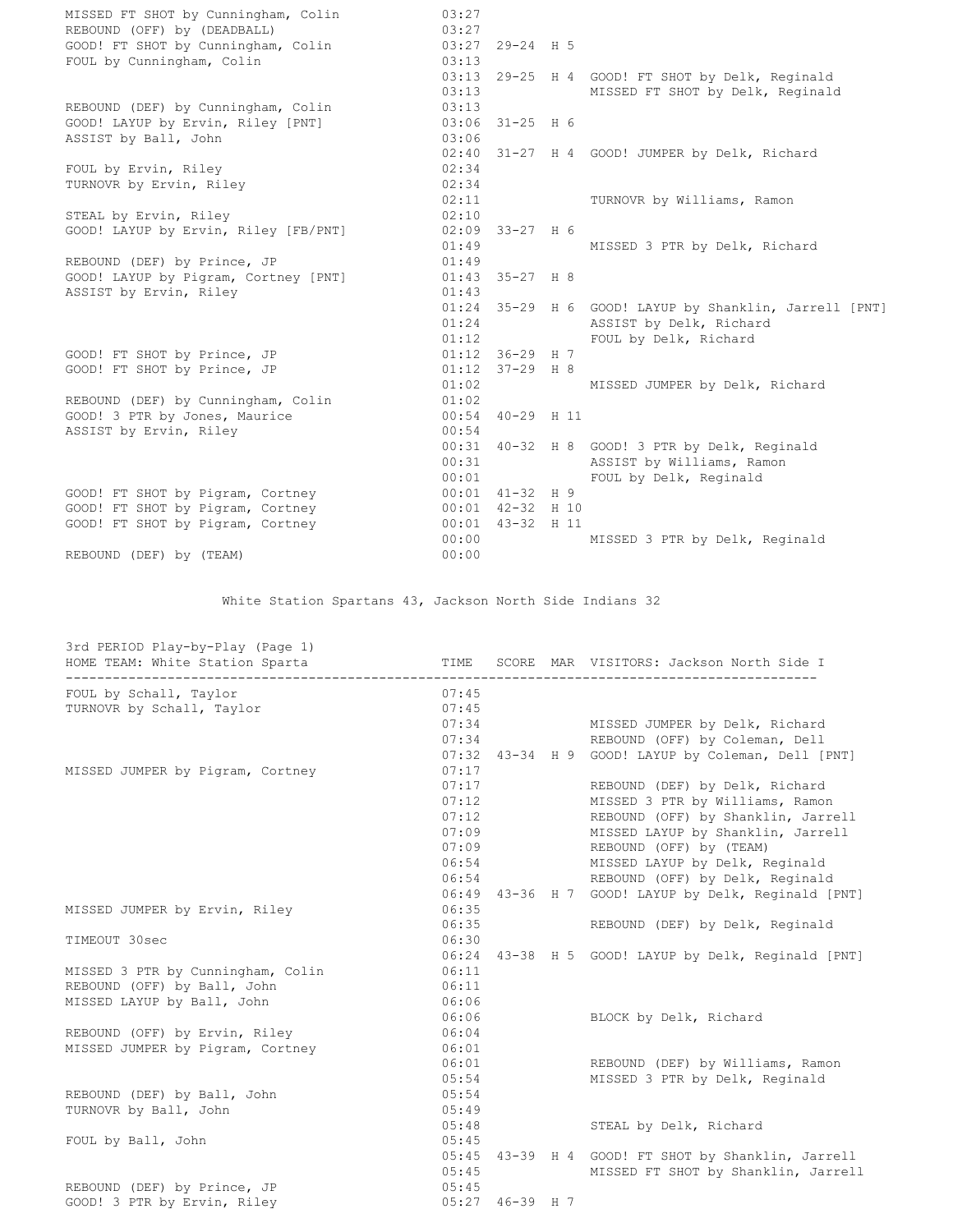MISSED FT SHOT by Cunningham, Colin 03:27 REBOUND (OFF) by (DEADBALL) 03:27 GOOD! FT SHOT by Cunningham, Colin 03:27 29-24 H 5 FOUL by Cunningham, Colin 03:13 FOUL by Cunningham, Colin  $03:13$ <br> $03:13$  29-25 H 4 GOOD! FT SHOT by Delk, Reginald<br>03:13 MISSED FT SHOT by Delk, Reginalc MISSED FT SHOT by Delk, Reginald REBOUND (DEF) by Cunningham, Colin 03:13 GOOD! LAYUP by Ervin, Riley [PNT] 03:06 31-25 H 6 GOOD! LAYUP by Ervin, Riley [PNT]  $03:06$  31-25 H 6<br>ASSIST by Ball, John  $03:06$ 02:40 31-27 H 4 GOOD! JUMPER by Delk, Richard FOUL by Ervin, Riley 02:34 TURNOVR by Ervin, Riley 02:34 02:11 TURNOVR by Williams, Ramon STEAL by Ervin, Riley 02:10 GOOD! LAYUP by Ervin, Riley [FB/PNT] 02:09 33-27 H 6<br>01:49 MISSED 3 PTR by Delk, Richard REBOUND (DEF) by Prince, JP 01:49 GOOD! LAYUP by Pigram, Cortney [PNT] 01:43 35-27 H 8 ASSIST by Ervin, Riley 01:43 01:24 35-29 H 6 GOOD! LAYUP by Shanklin, Jarrell [PNT] 01:24 ASSIST by Delk, Richard 01:12 FOUL by Delk, Richard GOOD! FT SHOT by Prince, JP<br>
GOOD! FT SHOT by Prince, JP<br>
01:12 37-29 H 8 GOOD! FT SHOT by Prince, JP 01:02 MISSED JUMPER by Delk, Richard REBOUND (DEF) by Cunningham, Colin 01:02 GOOD! 3 PTR by Jones, Maurice 00:54 40-29 H 11 ASSIST by Ervin, Riley 00:54 00:31 40-32 H 8 GOOD! 3 PTR by Delk, Reginald 00:31 ASSIST by Williams, Ramon 00:01 FOUL by Delk, Reginald  $GOOD!$  FT SHOT by Pigram, Cortney  $0.010141-32H9$ GOOD! FT SHOT by Pigram, Cortney 00:01 42-32 H 10 GOOD! FT SHOT by Pigram, Cortney 00:01 43-32 H 11 00:00 MISSED 3 PTR by Delk, Reginald REBOUND (DEF) by (TEAM) 00:00

White Station Spartans 43, Jackson North Side Indians 32

| 3rd PERIOD Play-by-Play (Page 1)<br>HOME TEAM: White Station Sparta<br>------------------------------------ | <b>TIME</b> |                   | SCORE MAR VISITORS: Jackson North Side I            |
|-------------------------------------------------------------------------------------------------------------|-------------|-------------------|-----------------------------------------------------|
| FOUL by Schall, Taylor                                                                                      | 07:45       |                   |                                                     |
| TURNOVR by Schall, Taylor                                                                                   | 07:45       |                   |                                                     |
|                                                                                                             | 07:34       |                   | MISSED JUMPER by Delk, Richard                      |
|                                                                                                             | 07:34       |                   | REBOUND (OFF) by Coleman, Dell                      |
|                                                                                                             |             |                   | 07:32 43-34 H 9 GOOD! LAYUP by Coleman, Dell [PNT]  |
| MISSED JUMPER by Pigram, Cortney                                                                            | 07:17       |                   |                                                     |
|                                                                                                             | 07:17       |                   | REBOUND (DEF) by Delk, Richard                      |
|                                                                                                             | 07:12       |                   | MISSED 3 PTR by Williams, Ramon                     |
|                                                                                                             | 07:12       |                   | REBOUND (OFF) by Shanklin, Jarrell                  |
|                                                                                                             | 07:09       |                   | MISSED LAYUP by Shanklin, Jarrell                   |
|                                                                                                             | 07:09       |                   | REBOUND (OFF) by (TEAM)                             |
|                                                                                                             | 06:54       |                   | MISSED LAYUP by Delk, Reginald                      |
|                                                                                                             | 06:54       |                   | REBOUND (OFF) by Delk, Reginald                     |
|                                                                                                             |             |                   | 06:49 43-36 H 7 GOOD! LAYUP by Delk, Reginald [PNT] |
| MISSED JUMPER by Ervin, Riley                                                                               | 06:35       |                   |                                                     |
|                                                                                                             | 06:35       |                   | REBOUND (DEF) by Delk, Reginald                     |
| TIMEOUT 30sec                                                                                               | 06:30       |                   |                                                     |
|                                                                                                             | 06:24       |                   | 43-38 H 5 GOOD! LAYUP by Delk, Reginald [PNT]       |
| MISSED 3 PTR by Cunningham, Colin                                                                           | 06:11       |                   |                                                     |
| REBOUND (OFF) by Ball, John                                                                                 | 06:11       |                   |                                                     |
| MISSED LAYUP by Ball, John                                                                                  | 06:06       |                   |                                                     |
|                                                                                                             | 06:06       |                   | BLOCK by Delk, Richard                              |
| REBOUND (OFF) by Ervin, Riley                                                                               | 06:04       |                   |                                                     |
| MISSED JUMPER by Pigram, Cortney                                                                            | 06:01       |                   |                                                     |
|                                                                                                             | 06:01       |                   | REBOUND (DEF) by Williams, Ramon                    |
|                                                                                                             | 05:54       |                   | MISSED 3 PTR by Delk, Reginald                      |
| REBOUND (DEF) by Ball, John                                                                                 | 05:54       |                   |                                                     |
| TURNOVR by Ball, John                                                                                       | 05:49       |                   |                                                     |
|                                                                                                             | 05:48       |                   | STEAL by Delk, Richard                              |
| FOUL by Ball, John                                                                                          | 05:45       |                   |                                                     |
|                                                                                                             |             |                   | 05:45 43-39 H 4 GOOD! FT SHOT by Shanklin, Jarrell  |
|                                                                                                             | 05:45       |                   | MISSED FT SHOT by Shanklin, Jarrell                 |
| REBOUND (DEF) by Prince, JP                                                                                 | 05:45       |                   |                                                     |
| GOOD! 3 PTR by Ervin, Riley                                                                                 |             | $05:27$ 46-39 H 7 |                                                     |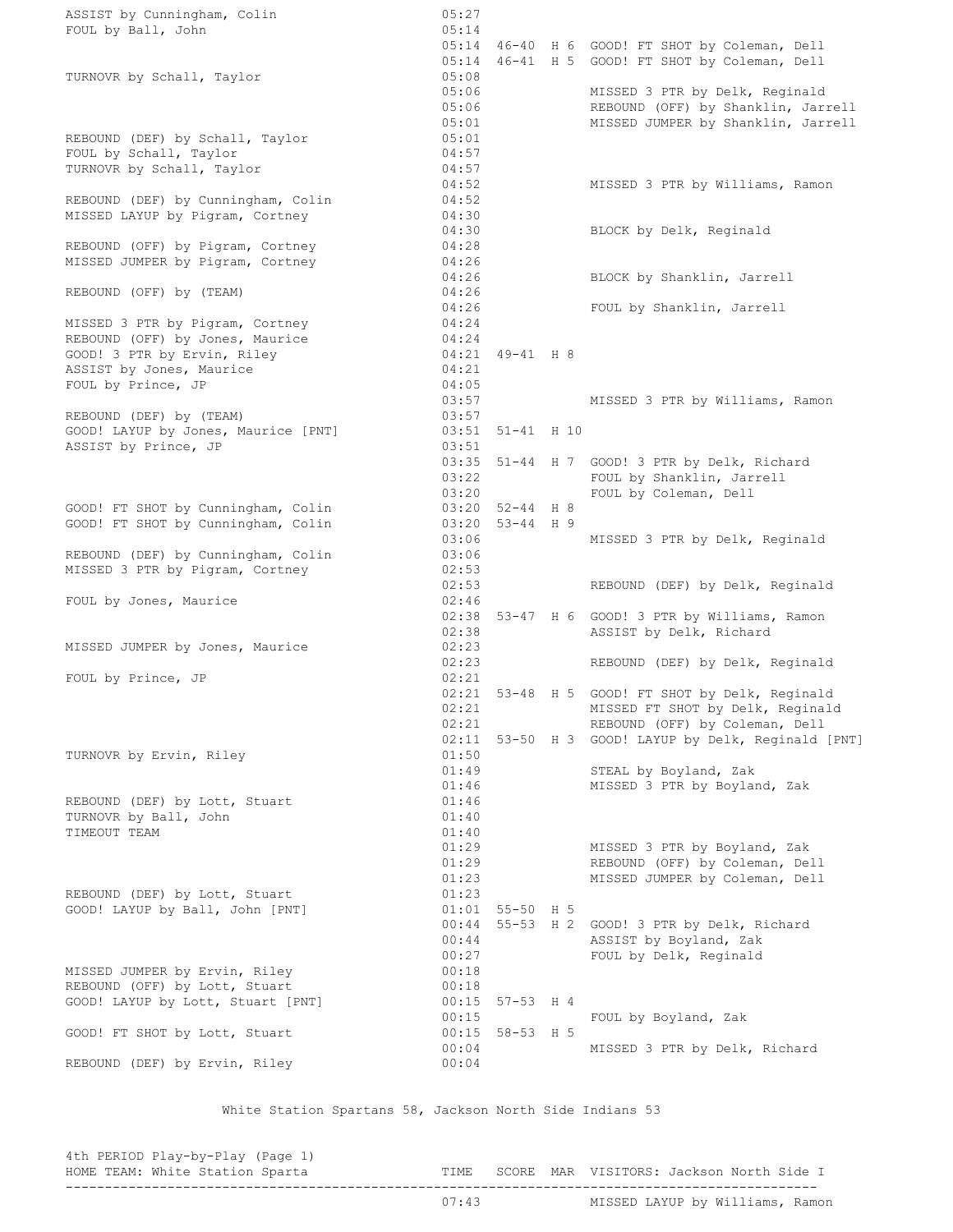ASSIST by Cunningham, Colin 05:27 FOUL by Ball, John 05:14 05:14 46-40 H 6 GOOD! FT SHOT by Coleman, Dell 05:14 46-41 H 5 GOOD! FT SHOT by Coleman, Dell TURNOVR by Schall, Taylor 05:08 05:06 MISSED 3 PTR by Delk, Reginald 05:06 REBOUND (OFF) by Shanklin, Jarrell 05:01 MISSED JUMPER by Shanklin, Jarrell 05:06<br>05:01 (DEF) by Schall, Taylor 05:01<br>05:01 05:01 FOUL by Schall, Taylor 04:57 TURNOVR by Schall, Taylor 04:57 04:52 MISSED 3 PTR by Williams, Ramon REBOUND (DEF) by Cunningham, Colin 04:52 MISSED LAYUP by Pigram, Cortney 04:30 04:30 BLOCK by Delk, Reginald REBOUND (OFF) by Pigram, Cortney 04:28 MISSED JUMPER by Pigram, Cortney 04:26 04:26 BLOCK by Shanklin, Jarrell REBOUND (OFF) by (TEAM) 04:26 04:26 FOUL by Shanklin, Jarrell MISSED 3 PTR by Pigram, Cortney 04:24<br>REBOUND (OFF) by Jones, Maurice 04:24<br>04:21 REBOUND (OFF) by Jones, Maurice GOOD! 3 PTR by Ervin, Riley 04:21 49-41 H 8 ASSIST by Jones, Maurice 04:21 FOUL by Prince, JP 04:05 03:57 MISSED 3 PTR by Williams, Ramon REBOUND (DEF) by (TEAM) 03:57 GOOD! LAYUP by Jones, Maurice [PNT] 03:51 51-41 H 10  $\texttt{ASSIST}$  by Prince, JP 03:51 03:35 51-44 H 7 GOOD! 3 PTR by Delk, Richard 03:22 FOUL by Shanklin, Jarrell 03:20 FOUL by Coleman, Dell<br>03:20 52-44 H 8<br>03:20 53-44 H 9 GOOD! FT SHOT by Cunningham, Colin GOOD! FT SHOT by Cunningham, Colin 03:06 MISSED 3 PTR by Delk, Reginald REBOUND (DEF) by Cunningham, Colin 03:06 MISSED 3 PTR by Pigram, Cortney 02:53 02:53 REBOUND (DEF) by Delk, Reginald FOUL by Jones, Maurice 02:46 02:38 53-47 H 6 GOOD! 3 PTR by Williams, Ramon 02:38 ASSIST by Delk, Richard MISSED JUMPER by Jones, Maurice 02:23 02:23 REBOUND (DEF) by Delk, Reginald FOUL by Prince, JP 02:21 02:21 53-48 H 5 GOOD! FT SHOT by Delk, Reginald 02:21 MISSED FT SHOT by Delk, Reginald 02:21 REBOUND (OFF) by Coleman, Dell 02:11 53-50 H 3 GOOD! LAYUP by Delk, Reginald [PNT] TURNOVR by Ervin, Riley 01:50 01:49 STEAL by Boyland, Zak 01:46 MISSED 3 PTR by Boyland, Zak REBOUND (DEF) by Lott, Stuart 01:46 TURNOVR by Ball, John 01:40 TIMEOUT TEAM 01:40 01:29 MISSED 3 PTR by Boyland, Zak<br>01:29 REBOUND (OFF) by Coleman, Del<br>01:23 MISSED JUMPER by Coleman, Del REBOUND (OFF) by Coleman, Dell MISSED JUMPER by Coleman, Dell REBOUND (DEF) by Lott, Stuart 01:23 GOOD! LAYUP by Ball, John [PNT] 01:01 55-50 H 5 00:44 55-53 H 2 GOOD! 3 PTR by Delk, Richard 00:44 ASSIST by Boyland, Zak 00:27 FOUL by Delk, Reginald MISSED JUMPER by Ervin, Riley 00:18 REBOUND (OFF) by Lott, Stuart 00:18 GOOD! LAYUP by Lott, Stuart [PNT] 00:15 57-53 H 4 00:15 FOUL by Boyland, Zak GOOD! FT SHOT by Lott, Stuart 00:15 58-53 H 5 00:04 MISSED 3 PTR by Delk, Richard REBOUND (DEF) by Ervin, Riley 00:04

White Station Spartans 58, Jackson North Side Indians 53

4th PERIOD Play-by-Play (Page 1) ------------------------------------------------------------------------------------------------

HOME TEAM: White Station Sparta TIME SCORE MAR VISITORS: Jackson North Side I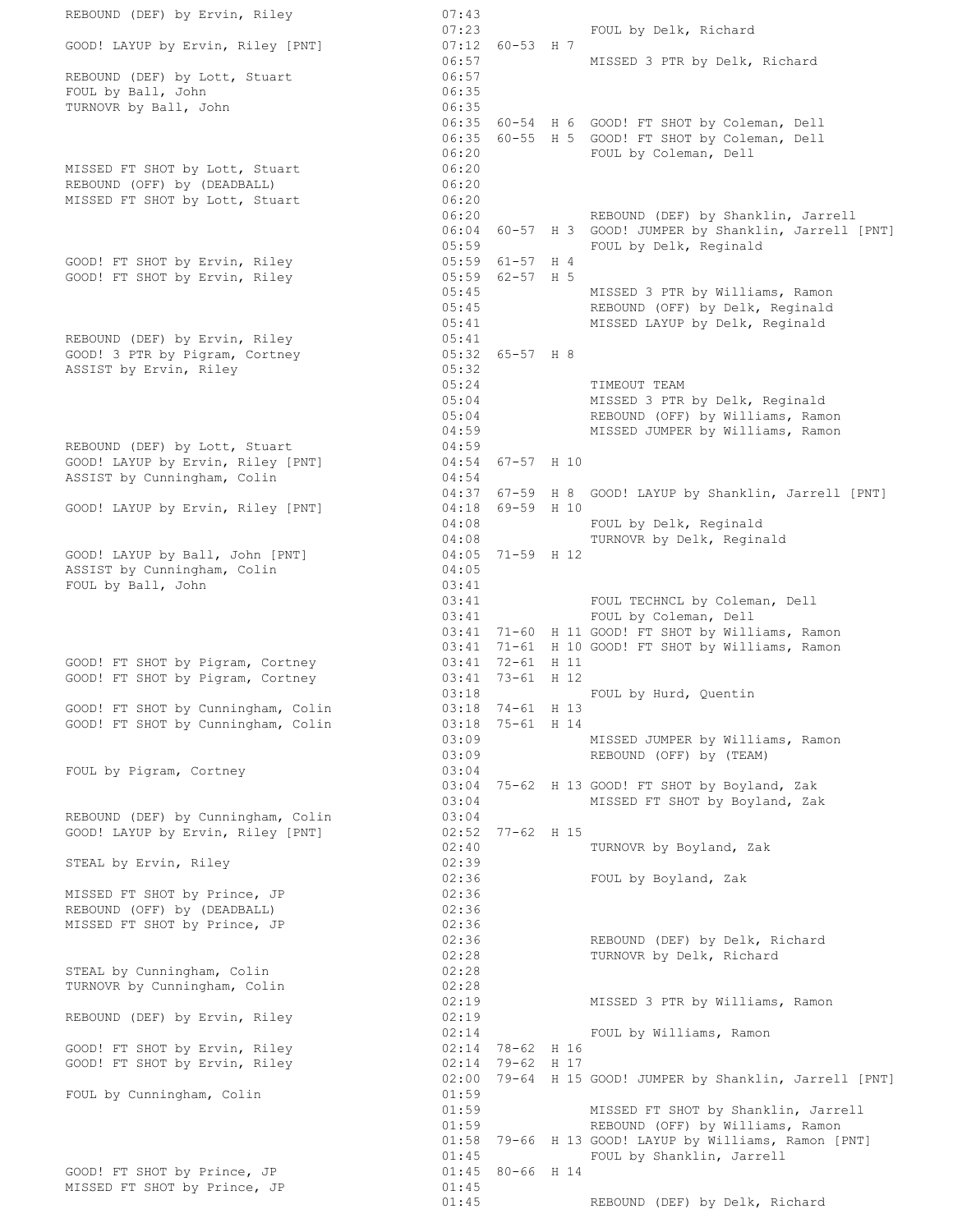REBOUND (DEF) by Ervin, Riley 07:43 07:23 FOUL by Delk, Richard GOOD! LAYUP by Ervin, Riley [PNT] 07:23<br>07:12 60-53 H 7<br>06:57 MISSED 3 PTR by Delk, Richard REBOUND (DEF) by Lott, Stuart 06:57<br>FOUL by Ball, John 06:35 FOUL by Ball, John TURNOVR by Ball, John 06:35 06:35 60-54 H 6 GOOD! FT SHOT by Coleman, Dell 06:35 60-55 H 5 GOOD! FT SHOT by Coleman, Dell 06:20 FOUL by Coleman, Dell MISSED FT SHOT by Lott, Stuart (06:20) REBOUND (OFF) by (DEADBALL) 06:20 MISSED FT SHOT by Lott, Stuart (06:20) 06:20 REBOUND (DEF) by Shanklin, Jarrell 06:04 60-57 H 3 GOOD! JUMPER by Shanklin, Jarrell [PNT] 05:59 FOUL by Delk, Reginald GOOD! FT SHOT by Ervin, Riley 05:59 61-57 H 4 GOOD! FT SHOT by Ervin, Riley<br>
GOOD! FT SHOT by Ervin, Riley<br>  $05:59$ <br>  $05:45$ <br>  $05:45$ <br>  $05:45$ MISSED 3 PTR by Williams, Ramon 05:45 REBOUND (OFF) by Delk, Reginald 05:41 MISSED LAYUP by Delk, Reginald REBOUND (DEF) by Ervin, Riley (05:41)  $\text{GOD! } 3$  PTR by Pigram, Cortney  $0.5:32$  65-57 H 8 ASSIST by Ervin, Riley Contract Communications (05:32 05:24 TIMEOUT TEAM 05:04 MISSED 3 PTR by Delk, Reginald 05:04 REBOUND (OFF) by Williams, Ramon 04:59 MISSED JUMPER by Williams, Ramon REBOUND (DEF) by Lott, Stuart 04:59 GOOD! LAYUP by Ervin, Riley [PNT] 04:54 67-57 H 10 ASSIST by Cunningham, Colin **1988** 04:54 04:37 67-59 H 8 GOOD! LAYUP by Shanklin, Jarrell [PNT] GOOD! LAYUP by Ervin, Riley [PNT] 04:18 69-59 H 10<br>04:08<br>04:05 71-59 H 12 FOUL by Delk, Reginald TURNOVR by Delk, Reginald GOOD! LAYUP by Ball, John [PNT] 04:05 71-59 H 12 ASSIST by Cunningham, Colin 1988 Colored 1991 FOUL by Ball, John 03:41 03:41 FOUL TECHNCL by Coleman, Dell 03:41 FOUL by Coleman, Dell 03:41 71-60 H 11 GOOD! FT SHOT by Williams, Ramon 03:41 71-61 H 10 GOOD! FT SHOT by Williams, Ramon GOOD! FT SHOT by Pigram, Cortney 03:41 72-61 H 11 GOOD! FT SHOT by Pigram, Cortney 03:41 73-61 H 12 03:18 FOUL by Hurd, Quentin GOOD! FT SHOT by Cunningham, Colin 03:18 74-61 H 13 GOOD! FT SHOT by Cunningham, Colin 03:18 75-61 H 14 03:18 74-61 H 13<br>03:18 75-61 H 14<br>03:09 MISSED JUMPER by Williams, Ramon 03:09 REBOUND (OFF) by (TEAM) FOUL by Pigram, Cortney 03:04 03:04 75-62 H 13 GOOD! FT SHOT by Boyland, Zak 03:04 MISSED FT SHOT by Boyland, Zak REBOUND (DEF) by Cunningham, Colin 03:04 GOOD! LAYUP by Ervin, Riley [PNT] 02:52 77-62 H 15 02:40 TURNOVR by Boyland, Zak STEAL by Ervin, Riley 02:39 02:36 FOUL by Boyland, Zak MISSED FT SHOT by Prince, JP 02:36 REBOUND (OFF) by (DEADBALL) 02:36 MISSED FT SHOT by Prince, JP 02:36 02:36 REBOUND (DEF) by Delk, Richard 02:28 TURNOVR by Delk, Richard STEAL by Cunningham, Colin 02:28 TURNOVR by Cunningham, Colin 02:28 02:19 MISSED 3 PTR by Williams, Ramon REBOUND (DEF) by Ervin, Riley 02:19 02:14 FOUL by Williams, Ramon GOOD! FT SHOT by Ervin, Riley 02:14 78-62 H 16 GOOD! FT SHOT by Ervin, Riley 02:14 79-62 H 17 02:00 79-64 H 15 GOOD! JUMPER by Shanklin, Jarrell [PNT] FOUL by Cunningham, Colin 01:59 01:59 MISSED FT SHOT by Shanklin, Jarrell 01:59 REBOUND (OFF) by Williams, Ramon 01:58 79-66 H 13 GOOD! LAYUP by Williams, Ramon [PNT] 01:45 FOUL by Shanklin, Jarrell GOOD! FT SHOT by Prince, JP  $01:45$  80-66 H 14 MISSED FT SHOT by Prince, JP 01:45 01:45 REBOUND (DEF) by Delk, Richard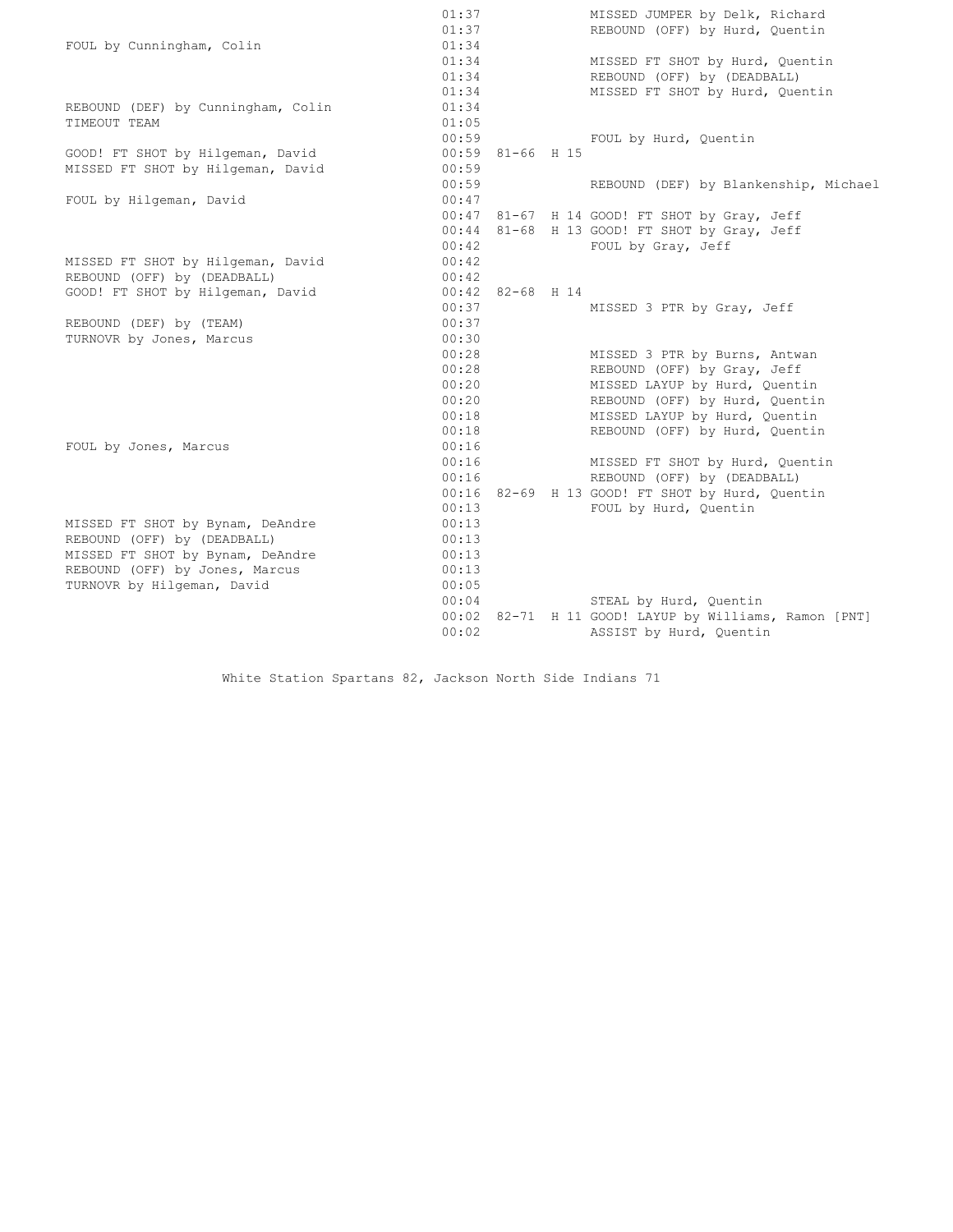|                                    | 01:37              |  |  | MISSED JUMPER by Delk, Richard                        |  |  |  |  |
|------------------------------------|--------------------|--|--|-------------------------------------------------------|--|--|--|--|
|                                    |                    |  |  | REBOUND (OFF) by Hurd, Quentin                        |  |  |  |  |
| FOUL by Cunningham, Colin          | 01:34              |  |  |                                                       |  |  |  |  |
|                                    | 01:34              |  |  | MISSED FT SHOT by Hurd, Quentin                       |  |  |  |  |
|                                    | 01:34              |  |  | REBOUND (OFF) by (DEADBALL)                           |  |  |  |  |
|                                    | 01:34              |  |  | MISSED FT SHOT by Hurd, Quentin                       |  |  |  |  |
| REBOUND (DEF) by Cunningham, Colin | 01:34              |  |  |                                                       |  |  |  |  |
| TIMEOUT TEAM                       | 01:05              |  |  |                                                       |  |  |  |  |
|                                    | 00:59              |  |  | FOUL by Hurd, Quentin                                 |  |  |  |  |
| GOOD! FT SHOT by Hilgeman, David   | $00:59$ 81-66 H 15 |  |  |                                                       |  |  |  |  |
| MISSED FT SHOT by Hilgeman, David  | 00:59              |  |  |                                                       |  |  |  |  |
|                                    | 00:59              |  |  | REBOUND (DEF) by Blankenship, Michael                 |  |  |  |  |
| FOUL by Hilgeman, David            | 00:47              |  |  |                                                       |  |  |  |  |
|                                    |                    |  |  | 00:47 81-67 H 14 GOOD! FT SHOT by Gray, Jeff          |  |  |  |  |
|                                    |                    |  |  | 00:44 81-68 H 13 GOOD! FT SHOT by Gray, Jeff          |  |  |  |  |
|                                    | 00:42              |  |  | FOUL by Gray, Jeff                                    |  |  |  |  |
| MISSED FT SHOT by Hilgeman, David  | 00:42              |  |  |                                                       |  |  |  |  |
| REBOUND (OFF) by (DEADBALL)        | 00:42              |  |  |                                                       |  |  |  |  |
| GOOD! FT SHOT by Hilgeman, David   | $00:42$ 82-68 H 14 |  |  |                                                       |  |  |  |  |
|                                    | 00:37              |  |  | MISSED 3 PTR by Gray, Jeff                            |  |  |  |  |
| REBOUND (DEF) by (TEAM)            | 00:37              |  |  |                                                       |  |  |  |  |
| TURNOVR by Jones, Marcus           | 00:30              |  |  |                                                       |  |  |  |  |
|                                    | 00:28              |  |  | MISSED 3 PTR by Burns, Antwan                         |  |  |  |  |
|                                    | 00:28              |  |  | REBOUND (OFF) by Gray, Jeff                           |  |  |  |  |
|                                    | 00:20              |  |  | MISSED LAYUP by Hurd, Quentin                         |  |  |  |  |
|                                    | 00:20              |  |  | REBOUND (OFF) by Hurd, Quentin                        |  |  |  |  |
|                                    | 00:18              |  |  | MISSED LAYUP by Hurd, Quentin                         |  |  |  |  |
|                                    | 00:18              |  |  | REBOUND (OFF) by Hurd, Quentin                        |  |  |  |  |
| FOUL by Jones, Marcus              | 00:16              |  |  |                                                       |  |  |  |  |
|                                    | 00:16              |  |  | MISSED FT SHOT by Hurd, Quentin                       |  |  |  |  |
|                                    | 00:16              |  |  | REBOUND (OFF) by (DEADBALL)                           |  |  |  |  |
|                                    |                    |  |  | 00:16 82-69 H 13 GOOD! FT SHOT by Hurd, Ouentin       |  |  |  |  |
|                                    | 00:13              |  |  | FOUL by Hurd, Quentin                                 |  |  |  |  |
| MISSED FT SHOT by Bynam, DeAndre   | 00:13              |  |  |                                                       |  |  |  |  |
| REBOUND (OFF) by (DEADBALL)        | 00:13              |  |  |                                                       |  |  |  |  |
| MISSED FT SHOT by Bynam, DeAndre   | 00:13              |  |  |                                                       |  |  |  |  |
| REBOUND (OFF) by Jones, Marcus     | 00:13              |  |  |                                                       |  |  |  |  |
| TURNOVR by Hilgeman, David         | 00:05              |  |  |                                                       |  |  |  |  |
|                                    | 00:04              |  |  | STEAL by Hurd, Quentin                                |  |  |  |  |
|                                    |                    |  |  | 00:02 82-71 H 11 GOOD! LAYUP by Williams, Ramon [PNT] |  |  |  |  |
|                                    | 00:02              |  |  | ASSIST by Hurd, Quentin                               |  |  |  |  |
|                                    |                    |  |  |                                                       |  |  |  |  |

White Station Spartans 82, Jackson North Side Indians 71